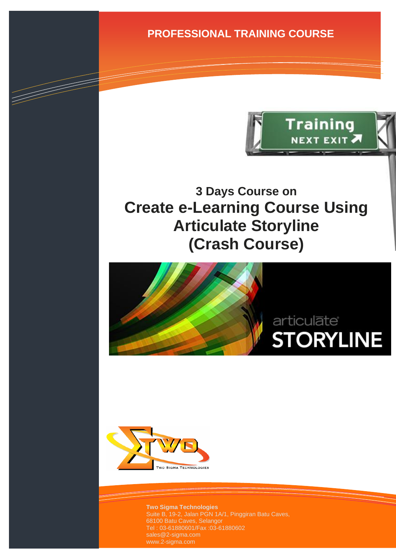**PROFESSIONAL TRAINING COURSE**



# **3 Days Course on Create e-Learning Course Using Articulate Storyline (Crash Course)**





d Salvador (1888) e de la Cardea de la Cardea de la Cardea de la Cardea de la Cardea de la Cardea de la Cardea de la Cardea de la Cardea de la Cardea de la Cardea de la Cardea de la Cardea de la Cardea de la Cardea de la C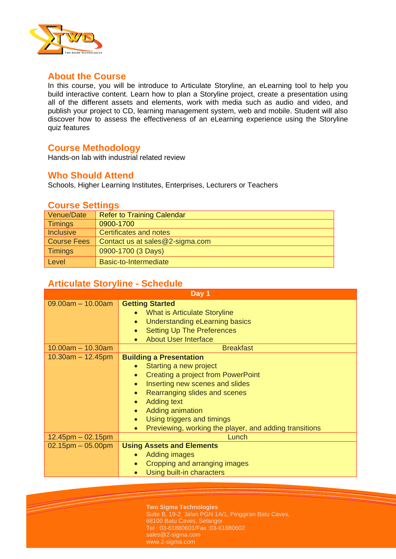

# **About the Course**

In this course, you will be introduce to Articulate Storyline, an eLearning tool to help you build interactive content. Learn how to plan a Storyline project, create a presentation using all of the different assets and elements, work with media such as audio and video, and publish your project to CD, learning management system, web and mobile. Student will also discover how to assess the effectiveness of an eLearning experience using the Storyline quiz features

# **Course Methodology**

Hands-on lab with industrial related review

#### **Who Should Attend**

Schools, Higher Learning Institutes, Enterprises, Lecturers or Teachers

### **Course Settings**

| Venue/Date         | <b>Refer to Training Calendar</b> |
|--------------------|-----------------------------------|
| <b>Timings</b>     | 0900-1700                         |
| <b>Inclusive</b>   | Certificates and notes            |
| <b>Course Fees</b> | Contact us at sales@2-sigma.com   |
| <b>Timings</b>     | 0900-1700 (3 Days)                |
| Level              | Basic-to-Intermediate             |

# **Articulate Storyline - Schedule**

| Day 1                   |                                                                                                                                                                                                                                                                                                                   |  |
|-------------------------|-------------------------------------------------------------------------------------------------------------------------------------------------------------------------------------------------------------------------------------------------------------------------------------------------------------------|--|
| $09.00am - 10.00am$     | <b>Getting Started</b><br>What is Articulate Storyline<br>Understanding eLearning basics<br>$\bullet$<br><b>Setting Up The Preferences</b><br><b>About User Interface</b>                                                                                                                                         |  |
| $10.00am - 10.30am$     | <b>Breakfast</b>                                                                                                                                                                                                                                                                                                  |  |
| $10.30$ am $- 12.45$ pm | <b>Building a Presentation</b><br>Starting a new project<br>Creating a project from PowerPoint<br>Inserting new scenes and slides<br>Rearranging slides and scenes<br>$\bullet$<br><b>Adding text</b><br>Adding animation<br>Using triggers and timings<br>Previewing, working the player, and adding transitions |  |
| $12.45$ pm $-02.15$ pm  | Lunch                                                                                                                                                                                                                                                                                                             |  |
| $02.15$ pm $-05.00$ pm  | <b>Using Assets and Elements</b><br>Adding images<br>Cropping and arranging images<br>Using built-in characters                                                                                                                                                                                                   |  |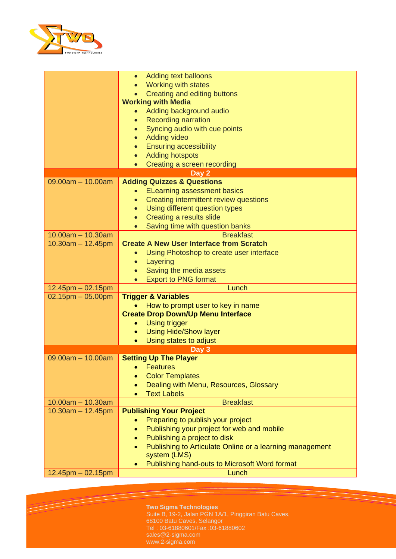

|                        | Adding text balloons<br>$\bullet$                                        |
|------------------------|--------------------------------------------------------------------------|
|                        | <b>Working with states</b>                                               |
|                        | Creating and editing buttons                                             |
|                        | <b>Working with Media</b>                                                |
|                        | Adding background audio<br>$\bullet$                                     |
|                        | <b>Recording narration</b><br>$\bullet$                                  |
|                        | Syncing audio with cue points<br>$\bullet$                               |
|                        | <b>Adding video</b>                                                      |
|                        | <b>Ensuring accessibility</b>                                            |
|                        | <b>Adding hotspots</b><br>$\bullet$                                      |
|                        | Creating a screen recording<br>$\bullet$                                 |
|                        | Day 2                                                                    |
| $09.00am - 10.00am$    | <b>Adding Quizzes &amp; Questions</b>                                    |
|                        | <b>ELearning assessment basics</b>                                       |
|                        | Creating intermittent review questions<br>$\bullet$                      |
|                        | Using different question types<br>$\bullet$                              |
|                        | Creating a results slide                                                 |
|                        | Saving time with question banks                                          |
| $10.00am - 10.30am$    | <b>Breakfast</b>                                                         |
| $10.30am - 12.45pm$    | <b>Create A New User Interface from Scratch</b>                          |
|                        | Using Photoshop to create user interface                                 |
|                        | Layering<br>$\bullet$                                                    |
|                        | Saving the media assets                                                  |
|                        | <b>Export to PNG format</b>                                              |
| $12.45$ pm $-02.15$ pm | Lunch                                                                    |
| $02.15$ pm $-05.00$ pm | <b>Trigger &amp; Variables</b>                                           |
|                        | How to prompt user to key in name                                        |
|                        | <b>Create Drop Down/Up Menu Interface</b>                                |
|                        | Using trigger<br>$\bullet$                                               |
|                        | <b>Using Hide/Show layer</b><br>$\bullet$                                |
|                        | Using states to adjust                                                   |
|                        | Day 3                                                                    |
| $09.00am - 10.00am$    | <b>Setting Up The Player</b>                                             |
|                        | • Features                                                               |
|                        | <b>Color Templates</b>                                                   |
|                        | Dealing with Menu, Resources, Glossary                                   |
|                        | <b>Text Labels</b>                                                       |
| $10.00am - 10.30am$    | <b>Breakfast</b>                                                         |
| $10.30am - 12.45pm$    | <b>Publishing Your Project</b>                                           |
|                        | Preparing to publish your project                                        |
|                        | Publishing your project for web and mobile                               |
|                        | Publishing a project to disk                                             |
|                        | Publishing to Articulate Online or a learning management<br>system (LMS) |
|                        | Publishing hand-outs to Microsoft Word format                            |
| $12.45$ pm $-02.15$ pm | Lunch                                                                    |
|                        |                                                                          |